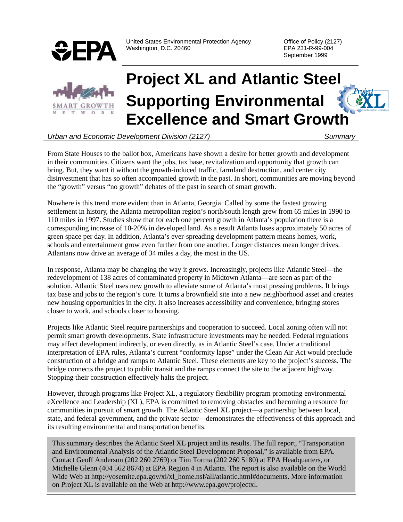

United States Environmental Protection Agency **Construent Construent Construent** Office of Policy (2127) Washington, D.C. 20460 **EPA 231-R-99-004** 

September 1999



# **Project XL and Atlantic Steel Supporting Environmental Excellence and Smart Growth**

#### *Urban and Economic Development Division (2127) Summary*

From State Houses to the ballot box, Americans have shown a desire for better growth and development in their communities. Citizens want the jobs, tax base, revitalization and opportunity that growth can bring. But, they want it without the growth-induced traffic, farmland destruction, and center city disinvestment that has so often accompanied growth in the past. In short, communities are moving beyond the "growth" versus "no growth" debates of the past in search of smart growth.

Nowhere is this trend more evident than in Atlanta, Georgia. Called by some the fastest growing settlement in history, the Atlanta metropolitan region's north/south length grew from 65 miles in 1990 to 110 miles in 1997. Studies show that for each one percent growth in Atlanta's population there is a corresponding increase of 10-20% in developed land. As a result Atlanta loses approximately 50 acres of green space per day. In addition, Atlanta's ever-spreading development pattern means homes, work, schools and entertainment grow even further from one another. Longer distances mean longer drives. Atlantans now drive an average of 34 miles a day, the most in the US.

In response, Atlanta may be changing the way it grows. Increasingly, projects like Atlantic Steel—the redevelopment of 138 acres of contaminated property in Midtown Atlanta—are seen as part of the solution. Atlantic Steel uses new growth to alleviate some of Atlanta's most pressing problems. It brings tax base and jobs to the region's core. It turns a brownfield site into a new neighborhood asset and creates new housing opportunities in the city. It also increases accessibility and convenience, bringing stores closer to work, and schools closer to housing.

Projects like Atlantic Steel require partnerships and cooperation to succeed. Local zoning often will not permit smart growth developments. State infrastructure investments may be needed. Federal regulations may affect development indirectly, or even directly, as in Atlantic Steel's case. Under a traditional interpretation of EPA rules, Atlanta's current "conformity lapse" under the Clean Air Act would preclude construction of a bridge and ramps to Atlantic Steel. These elements are key to the project's success. The bridge connects the project to public transit and the ramps connect the site to the adjacent highway. Stopping their construction effectively halts the project.

However, through programs like Project XL, a regulatory flexibility program promoting environmental eXcellence and Leadership (XL), EPA is committed to removing obstacles and becoming a resource for communities in pursuit of smart growth. The Atlantic Steel XL project—a partnership between local, state, and federal government, and the private sector—demonstrates the effectiveness of this approach and its resulting environmental and transportation benefits.

This summary describes the Atlantic Steel XL project and its results. The full report, "Transportation and Environmental Analysis of the Atlantic Steel Development Proposal," is available from EPA. Contact Geoff Anderson (202 260 2769) or Tim Torma (202 260 5180) at EPA Headquarters, or Michelle Glenn (404 562 8674) at EPA Region 4 in Atlanta. The report is also available on the World Wide Web at http://yosemite.epa.gov/xl/xl\_home.nsf/all/atlantic.html#documents. More information on Project XL is available on the Web at http://www.epa.gov/projectxl.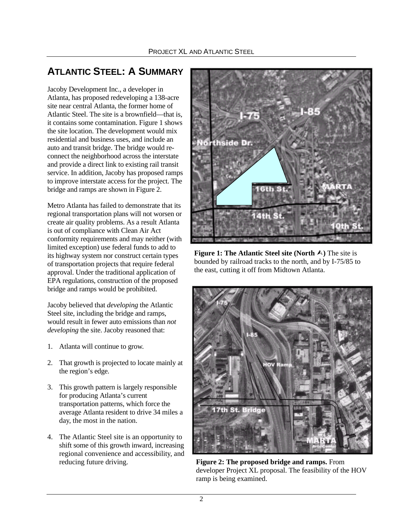# **ATLANTIC STEEL: A SUMMARY**

Jacoby Development Inc., a developer in Atlanta, has proposed redeveloping a 138-acre site near central Atlanta, the former home of Atlantic Steel. The site is a brownfield—that is, it contains some contamination. Figure 1 shows the site location. The development would mix residential and business uses, and include an auto and transit bridge. The bridge would reconnect the neighborhood across the interstate and provide a direct link to existing rail transit service. In addition, Jacoby has proposed ramps to improve interstate access for the project. The bridge and ramps are shown in Figure 2.

Metro Atlanta has failed to demonstrate that its regional transportation plans will not worsen or create air quality problems. As a result Atlanta is out of compliance with Clean Air Act conformity requirements and may neither (with limited exception) use federal funds to add to its highway system nor construct certain types of transportation projects that require federal approval. Under the traditional application of EPA regulations, construction of the proposed bridge and ramps would be prohibited.

Jacoby believed that *developing* the Atlantic Steel site, including the bridge and ramps, would result in fewer auto emissions than *not developing* the site. Jacoby reasoned that:

- 1. Atlanta will continue to grow.
- 2. That growth is projected to locate mainly at the region's edge.
- 3. This growth pattern is largely responsible for producing Atlanta's current transportation patterns, which force the average Atlanta resident to drive 34 miles a day, the most in the nation.
- 4. The Atlantic Steel site is an opportunity to shift some of this growth inward, increasing regional convenience and accessibility, and reducing future driving.



**Figure 1: The Atlantic Steel site (North A)** The site is bounded by railroad tracks to the north, and by I-75/85 to the east, cutting it off from Midtown Atlanta.



**Figure 2: The proposed bridge and ramps.** From developer Project XL proposal. The feasibility of the HOV ramp is being examined.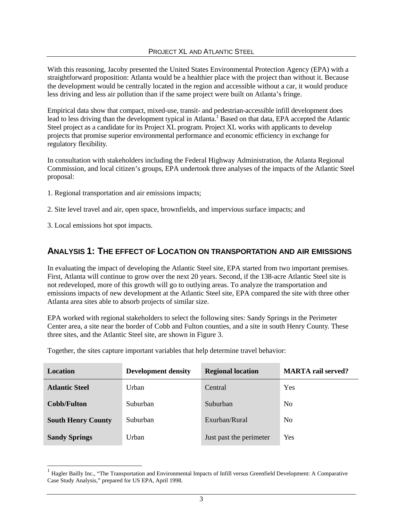With this reasoning, Jacoby presented the United States Environmental Protection Agency (EPA) with a straightforward proposition: Atlanta would be a healthier place with the project than without it. Because the development would be centrally located in the region and accessible without a car, it would produce less driving and less air pollution than if the same project were built on Atlanta's fringe.

Empirical data show that compact, mixed-use, transit- and pedestrian-accessible infill development does lead to less driving than the development typical in Atlanta.<sup>1</sup> Based on that data, EPA accepted the Atlantic Steel project as a candidate for its Project XL program. Project XL works with applicants to develop projects that promise superior environmental performance and economic efficiency in exchange for regulatory flexibility.

In consultation with stakeholders including the Federal Highway Administration, the Atlanta Regional Commission, and local citizen's groups, EPA undertook three analyses of the impacts of the Atlantic Steel proposal:

- 1. Regional transportation and air emissions impacts;
- 2. Site level travel and air, open space, brownfields, and impervious surface impacts; and
- 3. Local emissions hot spot impacts.

## **ANALYSIS 1: THE EFFECT OF LOCATION ON TRANSPORTATION AND AIR EMISSIONS**

In evaluating the impact of developing the Atlantic Steel site, EPA started from two important premises. First, Atlanta will continue to grow over the next 20 years. Second, if the 138-acre Atlantic Steel site is not redeveloped, more of this growth will go to outlying areas. To analyze the transportation and emissions impacts of new development at the Atlantic Steel site, EPA compared the site with three other Atlanta area sites able to absorb projects of similar size.

EPA worked with regional stakeholders to select the following sites: Sandy Springs in the Perimeter Center area, a site near the border of Cobb and Fulton counties, and a site in south Henry County. These three sites, and the Atlantic Steel site, are shown in Figure 3.

| Location                  | <b>Development density</b> | <b>Regional location</b> | <b>MARTA</b> rail served? |
|---------------------------|----------------------------|--------------------------|---------------------------|
| <b>Atlantic Steel</b>     | Urban                      | Central                  | Yes                       |
| Cobb/Fulton               | Suburban                   | Suburban                 | N <sub>0</sub>            |
| <b>South Henry County</b> | Suburban                   | Exurban/Rural            | N <sub>0</sub>            |
| <b>Sandy Springs</b>      | Urban                      | Just past the perimeter  | Yes                       |

Together, the sites capture important variables that help determine travel behavior:

<sup>1</sup> Hagler Bailly Inc., "The Transportation and Environmental Impacts of Infill versus Greenfield Development: A Comparative Case Study Analysis," prepared for US EPA, April 1998.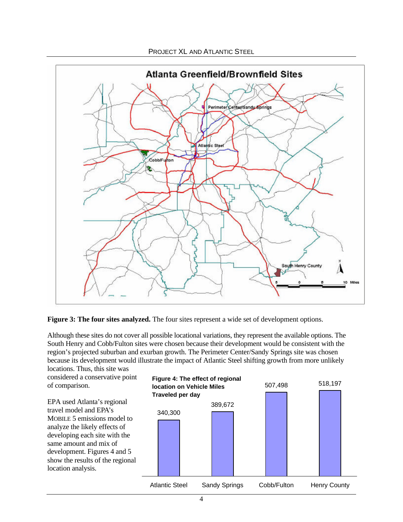

**Figure 3: The four sites analyzed.** The four sites represent a wide set of development options.

Although these sites do not cover all possible locational variations, they represent the available options. The South Henry and Cobb/Fulton sites were chosen because their development would be consistent with the region's projected suburban and exurban growth. The Perimeter Center/Sandy Springs site was chosen because its development would illustrate the impact of Atlantic Steel shifting growth from more unlikely

locations. Thus, this site was considered a conservative point of comparison.

EPA used Atlanta's regional travel model and EPA's MOBILE 5 emissions model to analyze the likely effects of developing each site with the same amount and mix of development. Figures 4 and 5 show the results of the regional location analysis.

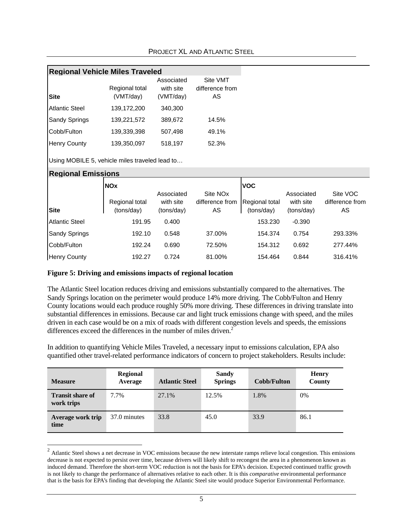|                                                | <b>Regional Vehicle Miles Traveled</b>     |                                       |                                               |                                            |                                       |                                   |  |
|------------------------------------------------|--------------------------------------------|---------------------------------------|-----------------------------------------------|--------------------------------------------|---------------------------------------|-----------------------------------|--|
| <b>Site</b>                                    | Regional total<br>(VMT/day)                | Associated<br>with site<br>(VMT/day)  | Site VMT<br>difference from<br>AS             |                                            |                                       |                                   |  |
| <b>Atlantic Steel</b>                          | 139,172,200                                | 340,300                               |                                               |                                            |                                       |                                   |  |
| <b>Sandy Springs</b>                           | 139,221,572                                | 389,672                               | 14.5%                                         |                                            |                                       |                                   |  |
| Cobb/Fulton                                    | 139,339,398                                | 507,498                               | 49.1%                                         |                                            |                                       |                                   |  |
| <b>Henry County</b>                            | 139,350,097                                | 518,197                               | 52.3%                                         |                                            |                                       |                                   |  |
| Using MOBILE 5, vehicle miles traveled lead to |                                            |                                       |                                               |                                            |                                       |                                   |  |
| <b>Regional Emissions</b>                      |                                            |                                       |                                               |                                            |                                       |                                   |  |
| <b>Site</b>                                    | <b>NOx</b><br>Regional total<br>(tons/day) | Associated<br>with site<br>(tons/day) | Site NO <sub>x</sub><br>difference from<br>AS | <b>VOC</b><br>Regional total<br>(tons/day) | Associated<br>with site<br>(tons/day) | Site VOC<br>difference from<br>AS |  |
| <b>Atlantic Steel</b>                          | 191.95                                     | 0.400                                 |                                               | 153.230                                    | $-0.390$                              |                                   |  |
| <b>Sandy Springs</b>                           | 192.10                                     | 0.548                                 | 37.00%                                        | 154.374                                    | 0.754                                 | 293.33%                           |  |
| Cobb/Fulton                                    | 192.24                                     | 0.690                                 | 72.50%                                        | 154.312                                    | 0.692                                 | 277.44%                           |  |
| <b>Henry County</b>                            | 192.27                                     | 0.724                                 | 81.00%                                        | 154.464                                    | 0.844                                 | 316.41%                           |  |

#### **Figure 5: Driving and emissions impacts of regional location**

The Atlantic Steel location reduces driving and emissions substantially compared to the alternatives. The Sandy Springs location on the perimeter would produce 14% more driving. The Cobb/Fulton and Henry County locations would each produce roughly 50% more driving. These differences in driving translate into substantial differences in emissions. Because car and light truck emissions change with speed, and the miles driven in each case would be on a mix of roads with different congestion levels and speeds, the emissions differences exceed the differences in the number of miles driven.<sup>2</sup>

In addition to quantifying Vehicle Miles Traveled, a necessary input to emissions calculation, EPA also quantified other travel-related performance indicators of concern to project stakeholders. Results include:

| <b>Measure</b>                        | <b>Regional</b><br>Average | <b>Atlantic Steel</b> | <b>Sandy</b><br><b>Springs</b> | Cobb/Fulton | <b>Henry</b><br>County |
|---------------------------------------|----------------------------|-----------------------|--------------------------------|-------------|------------------------|
| <b>Transit share of</b><br>work trips | 7.7%                       | 27.1%                 | 12.5%                          | 1.8%        | 0%                     |
| Average work trip<br>time             | 37.0 minutes               | 33.8                  | 45.0                           | 33.9        | 86.1                   |

 $2$  Atlantic Steel shows a net decrease in VOC emissions because the new interstate ramps relieve local congestion. This emissions decrease is not expected to persist over time, because drivers will likely shift to recongest the area in a phenomenon known as induced demand. Therefore the short-term VOC reduction is not the basis for EPA's decision. Expected continued traffic growth is not likely to change the performance of alternatives relative to each other. It is this *comparative* environmental performance that is the basis for EPA's finding that developing the Atlantic Steel site would produce Superior Environmental Performance.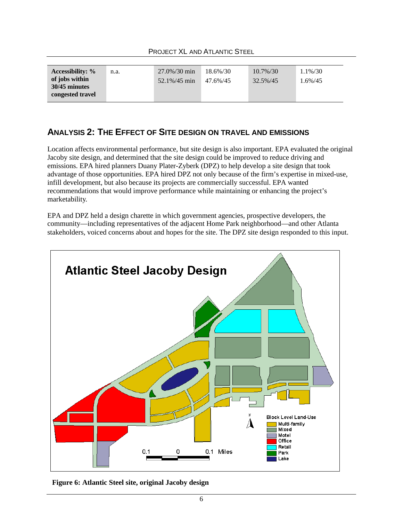| <b>Accessibility:</b> %           | n.a. | $27.0\%/30 \text{ min}$ | 18.6%/30 | $10.7\%/30$ | 1.1%/30    |
|-----------------------------------|------|-------------------------|----------|-------------|------------|
| of jobs within                    |      | $52.1\%/45 \text{ min}$ | 47.6%/45 | 32.5%/45    | $1.6\%/45$ |
| 30/45 minutes<br>congested travel |      |                         |          |             |            |

## **ANALYSIS 2: THE EFFECT OF SITE DESIGN ON TRAVEL AND EMISSIONS**

Location affects environmental performance, but site design is also important. EPA evaluated the original Jacoby site design, and determined that the site design could be improved to reduce driving and emissions. EPA hired planners Duany Plater-Zyberk (DPZ) to help develop a site design that took advantage of those opportunities. EPA hired DPZ not only because of the firm's expertise in mixed-use, infill development, but also because its projects are commercially successful. EPA wanted recommendations that would improve performance while maintaining or enhancing the project's marketability.

EPA and DPZ held a design charette in which government agencies, prospective developers, the community—including representatives of the adjacent Home Park neighborhood—and other Atlanta stakeholders, voiced concerns about and hopes for the site. The DPZ site design responded to this input.



**Figure 6: Atlantic Steel site, original Jacoby design**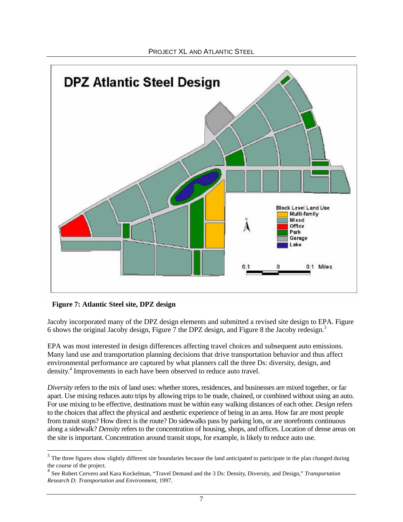

#### **Figure 7: Atlantic Steel site, DPZ design**

Jacoby incorporated many of the DPZ design elements and submitted a revised site design to EPA. Figure 6 shows the original Jacoby design, Figure 7 the DPZ design, and Figure 8 the Jacoby redesign.3

EPA was most interested in design differences affecting travel choices and subsequent auto emissions. Many land use and transportation planning decisions that drive transportation behavior and thus affect environmental performance are captured by what planners call the three Ds: diversity, design, and density. 4 Improvements in each have been observed to reduce auto travel.

*Diversity* refers to the mix of land uses: whether stores, residences, and businesses are mixed together, or far apart. Use mixing reduces auto trips by allowing trips to be made, chained, or combined without using an auto. For use mixing to be effective, destinations must be within easy walking distances of each other. *Design* refers to the choices that affect the physical and aesthetic experience of being in an area. How far are most people from transit stops? How direct is the route? Do sidewalks pass by parking lots, or are storefronts continuous along a sidewalk? *Density* refers to the concentration of housing, shops, and offices. Location of dense areas on the site is important. Concentration around transit stops, for example, is likely to reduce auto use.

 $3$  The three figures show slightly different site boundaries because the land anticipated to participate in the plan changed during the course of the project.

<sup>4</sup> See Robert Cervero and Kara Kockelman, "Travel Demand and the 3 Ds: Density, Diversity, and Design," *Transportation Research D: Transportation and Environment*, 1997.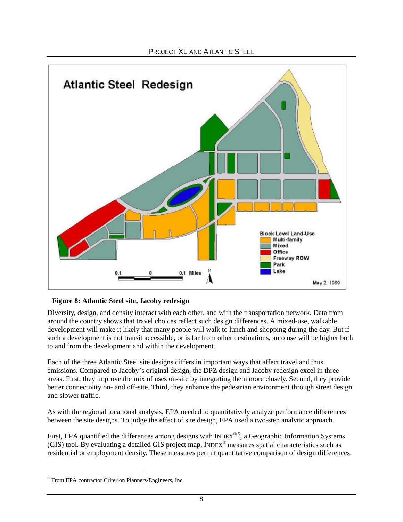

#### **Figure 8: Atlantic Steel site, Jacoby redesign**

Diversity, design, and density interact with each other, and with the transportation network. Data from around the country shows that travel choices reflect such design differences. A mixed-use, walkable development will make it likely that many people will walk to lunch and shopping during the day. But if such a development is not transit accessible, or is far from other destinations, auto use will be higher both to and from the development and within the development.

Each of the three Atlantic Steel site designs differs in important ways that affect travel and thus emissions. Compared to Jacoby's original design, the DPZ design and Jacoby redesign excel in three areas. First, they improve the mix of uses on-site by integrating them more closely. Second, they provide better connectivity on- and off-site. Third, they enhance the pedestrian environment through street design and slower traffic.

As with the regional locational analysis, EPA needed to quantitatively analyze performance differences between the site designs. To judge the effect of site design, EPA used a two-step analytic approach.

First, EPA quantified the differences among designs with INDEX $^{\circ}$ <sup>5</sup>, a Geographic Information Systems (GIS) tool. By evaluating a detailed GIS project map, INDEX® measures spatial characteristics such as residential or employment density. These measures permit quantitative comparison of design differences.

 $<sup>5</sup>$  From EPA contractor Criterion Planners/Engineers, Inc.</sup>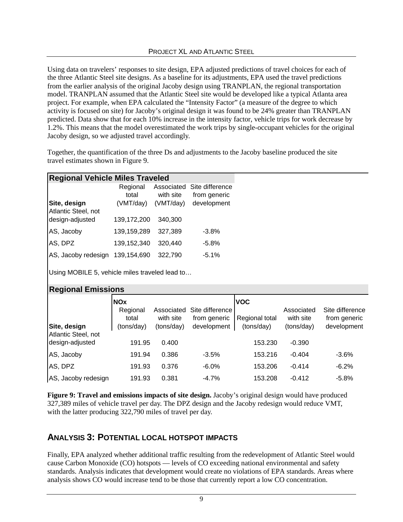Using data on travelers' responses to site design, EPA adjusted predictions of travel choices for each of the three Atlantic Steel site designs. As a baseline for its adjustments, EPA used the travel predictions from the earlier analysis of the original Jacoby design using TRANPLAN, the regional transportation model. TRANPLAN assumed that the Atlantic Steel site would be developed like a typical Atlanta area project. For example, when EPA calculated the "Intensity Factor" (a measure of the degree to which activity is focused on site) for Jacoby's original design it was found to be 24% greater than TRANPLAN predicted. Data show that for each 10% increase in the intensity factor, vehicle trips for work decrease by 1.2%. This means that the model overestimated the work trips by single-occupant vehicles for the original Jacoby design, so we adjusted travel accordingly.

Together, the quantification of the three Ds and adjustments to the Jacoby baseline produced the site travel estimates shown in Figure 9.

| <b>Regional Vehicle Miles Traveled</b> |                   |           |                                            |  |  |  |
|----------------------------------------|-------------------|-----------|--------------------------------------------|--|--|--|
|                                        | Regional<br>total | with site | Associated Site difference<br>from generic |  |  |  |
| Site, design<br>Atlantic Steel, not    | (VMT/day)         | (VMT/day) | development                                |  |  |  |
| design-adjusted                        | 139,172,200       | 340,300   |                                            |  |  |  |
| AS, Jacoby                             | 139,159,289       | 327.389   | $-3.8%$                                    |  |  |  |
| AS, DPZ                                | 139,152,340       | 320,440   | $-5.8%$                                    |  |  |  |
| AS, Jacoby redesign                    | 139,154,690       | 322,790   | $-5.1%$                                    |  |  |  |

Using MOBILE 5, vehicle miles traveled lead to…

| <b>Regional Emissions</b>           |                                 |                         |                                 |                              |                         |                                 |  |
|-------------------------------------|---------------------------------|-------------------------|---------------------------------|------------------------------|-------------------------|---------------------------------|--|
|                                     | <b>NOx</b><br>Regional<br>total | Associated<br>with site | Site difference<br>from generic | <b>VOC</b><br>Regional total | Associated<br>with site | Site difference<br>from generic |  |
| Site, design<br>Atlantic Steel, not | (tons/day)                      | (tons/day)              | development                     | (tons/day)                   | (tons/day)              | development                     |  |
| design-adjusted<br>AS, Jacoby       | 191.95<br>191.94                | 0.400<br>0.386          | $-3.5%$                         | 153.230<br>153.216           | $-0.390$<br>$-0.404$    | $-3.6%$                         |  |
| AS, DPZ                             | 191.93                          | 0.376                   | $-6.0%$                         | 153.206                      | $-0.414$                | $-6.2%$                         |  |
| AS, Jacoby redesign                 | 191.93                          | 0.381                   | $-4.7%$                         | 153.208                      | $-0.412$                | $-5.8%$                         |  |

**Figure 9: Travel and emissions impacts of site design.** Jacoby's original design would have produced 327,389 miles of vehicle travel per day. The DPZ design and the Jacoby redesign would reduce VMT, with the latter producing 322,790 miles of travel per day.

## **ANALYSIS 3: POTENTIAL LOCAL HOTSPOT IMPACTS**

Finally, EPA analyzed whether additional traffic resulting from the redevelopment of Atlantic Steel would cause Carbon Monoxide (CO) hotspots — levels of CO exceeding national environmental and safety standards. Analysis indicates that development would create no violations of EPA standards. Areas where analysis shows CO would increase tend to be those that currently report a low CO concentration.